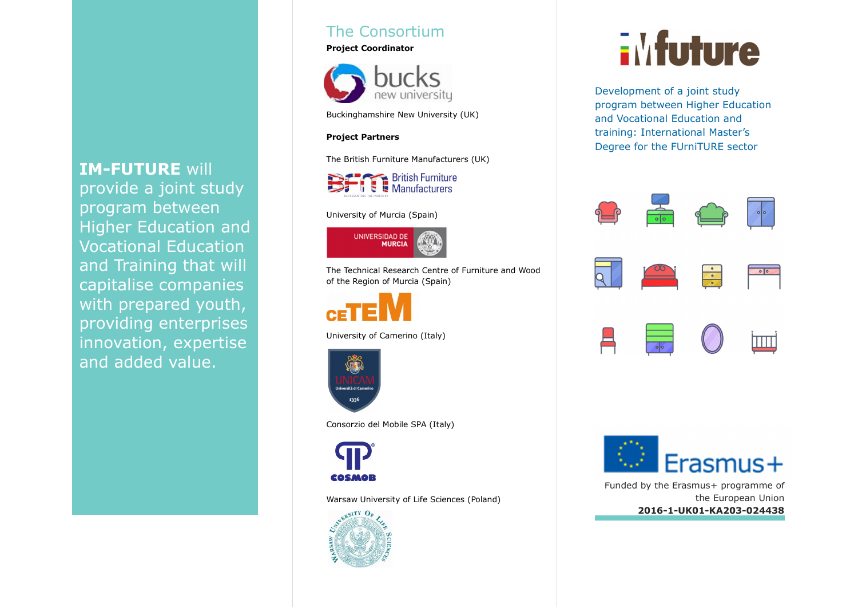# IM-FUTURE will

 provide a joint study program between Higher Education and Vocational Education and Training that will capitalise companies with prepared youth, providing enterprises innovation, expertise and added value.

# The Consortium

#### Project Coordinator



Buckinghamshire New University (UK)

#### Project Partners

The British Furniture Manufacturers (UK)



#### University of Murcia (Spain)



The Technical Research Centre of Furniture and Wood of the Region of Murcia (Spain)



University of Camerino (Italy)



Consorzio del Mobile SPA (Italy)



Warsaw University of Life Sciences (Poland)



# **EMfuture**

Development of a joint study program between Higher Education and Vocational Education and training: International Master's Degree for the FUrniTURE sector









Funded by the Erasmus+ programme ofthe European Union2016-1-UK01-KA203-024438